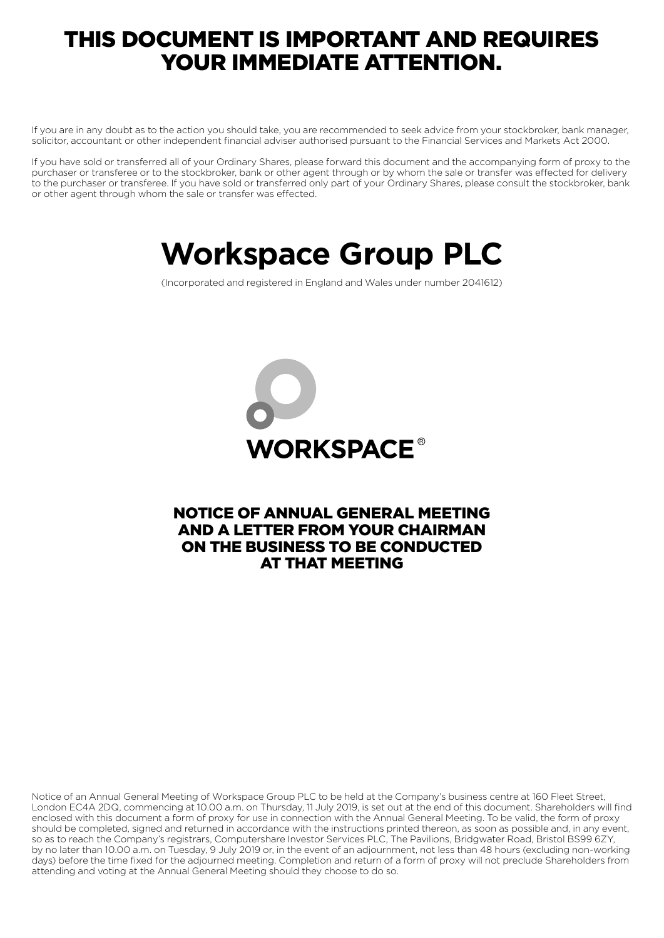### THIS DOCUMENT IS IMPORTANT AND REQUIRES YOUR IMMEDIATE ATTENTION.

If you are in any doubt as to the action you should take, you are recommended to seek advice from your stockbroker, bank manager, solicitor, accountant or other independent financial adviser authorised pursuant to the Financial Services and Markets Act 2000.

If you have sold or transferred all of your Ordinary Shares, please forward this document and the accompanying form of proxy to the purchaser or transferee or to the stockbroker, bank or other agent through or by whom the sale or transfer was effected for delivery to the purchaser or transferee. If you have sold or transferred only part of your Ordinary Shares, please consult the stockbroker, bank or other agent through whom the sale or transfer was effected.

# **Workspace Group PLC**

(Incorporated and registered in England and Wales under number 2041612)



### NOTICE OF ANNUAL GENERAL MEETING AND A LETTER FROM YOUR CHAIRMAN ON THE BUSINESS TO BE CONDUCTED AT THAT MEETING

Notice of an Annual General Meeting of Workspace Group PLC to be held at the Company's business centre at 160 Fleet Street, London EC4A 2DQ, commencing at 10.00 a.m. on Thursday, 11 July 2019, is set out at the end of this document. Shareholders will find enclosed with this document a form of proxy for use in connection with the Annual General Meeting. To be valid, the form of proxy should be completed, signed and returned in accordance with the instructions printed thereon, as soon as possible and, in any event, so as to reach the Company's registrars, Computershare Investor Services PLC, The Pavilions, Bridgwater Road, Bristol BS99 6ZY, by no later than 10.00 a.m. on Tuesday, 9 July 2019 or, in the event of an adjournment, not less than 48 hours (excluding non-working days) before the time fixed for the adjourned meeting. Completion and return of a form of proxy will not preclude Shareholders from attending and voting at the Annual General Meeting should they choose to do so.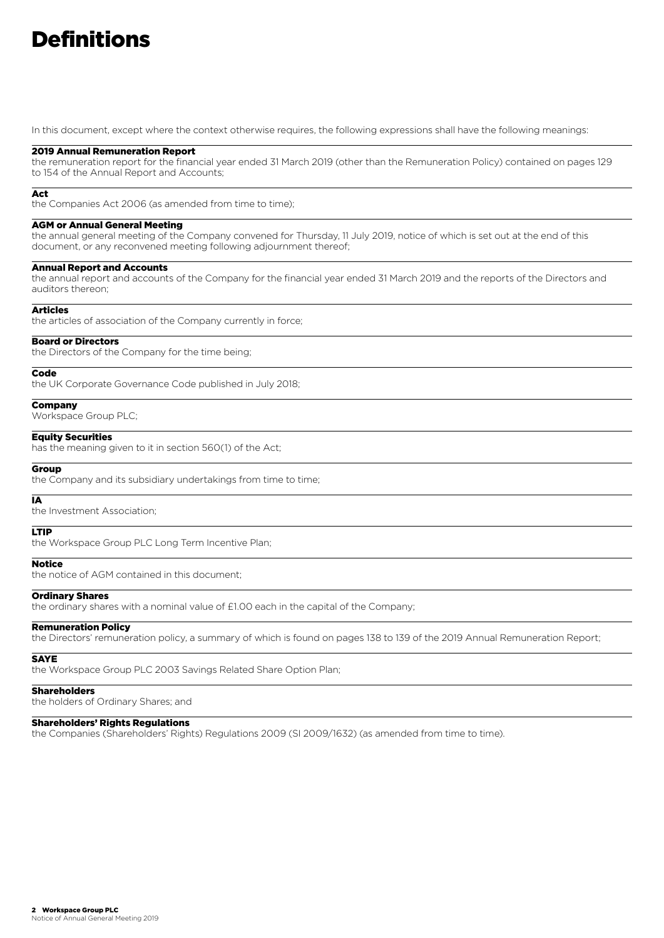## **Definitions**

In this document, except where the context otherwise requires, the following expressions shall have the following meanings:

#### 2019 Annual Remuneration Report

the remuneration report for the financial year ended 31 March 2019 (other than the Remuneration Policy) contained on pages 129 to 154 of the Annual Report and Accounts;

#### Act

the Companies Act 2006 (as amended from time to time);

#### AGM or Annual General Meeting

the annual general meeting of the Company convened for Thursday, 11 July 2019, notice of which is set out at the end of this document, or any reconvened meeting following adjournment thereof;

#### Annual Report and Accounts

the annual report and accounts of the Company for the financial year ended 31 March 2019 and the reports of the Directors and auditors thereon;

#### Articles

the articles of association of the Company currently in force;

#### Board or Directors

the Directors of the Company for the time being;

#### Code

the UK Corporate Governance Code published in July 2018;

#### **Company**

Workspace Group PLC;

#### Equity Securities

has the meaning given to it in section 560(1) of the Act;

#### **Group**

the Company and its subsidiary undertakings from time to time;

IA the Investment Association;

#### LTIP

the Workspace Group PLC Long Term Incentive Plan;

#### **Notice**

the notice of AGM contained in this document;

#### Ordinary Shares

the ordinary shares with a nominal value of £1.00 each in the capital of the Company;

#### Remuneration Policy

the Directors' remuneration policy, a summary of which is found on pages 138 to 139 of the 2019 Annual Remuneration Report;

#### **SAYE**

the Workspace Group PLC 2003 Savings Related Share Option Plan;

#### **Shareholders**

the holders of Ordinary Shares; and

#### Shareholders' Rights Regulations

the Companies (Shareholders' Rights) Regulations 2009 (SI 2009/1632) (as amended from time to time).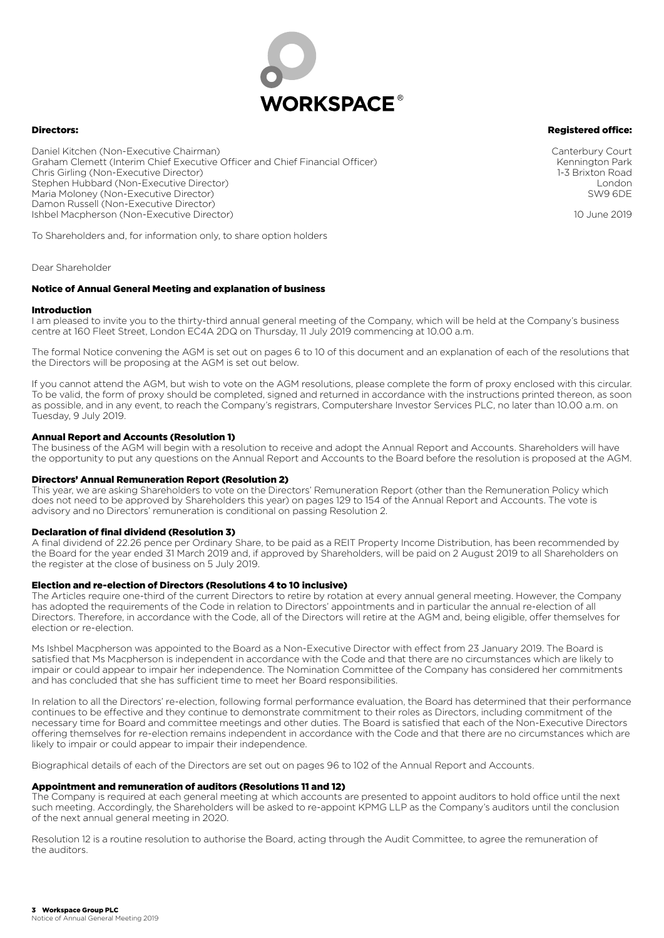

#### Directors:

#### Registered office:

Daniel Kitchen (Non-Executive Chairman) Graham Clemett (Interim Chief Executive Officer and Chief Financial Officer) Chris Girling (Non-Executive Director) Stephen Hubbard (Non-Executive Director) Maria Moloney (Non-Executive Director) Damon Russell (Non-Executive Director) Ishbel Macpherson (Non-Executive Director)

To Shareholders and, for information only, to share option holders

Dear Shareholder

#### Notice of Annual General Meeting and explanation of business

#### Introduction

I am pleased to invite you to the thirty-third annual general meeting of the Company, which will be held at the Company's business centre at 160 Fleet Street, London EC4A 2DQ on Thursday, 11 July 2019 commencing at 10.00 a.m.

The formal Notice convening the AGM is set out on pages 6 to 10 of this document and an explanation of each of the resolutions that the Directors will be proposing at the AGM is set out below.

If you cannot attend the AGM, but wish to vote on the AGM resolutions, please complete the form of proxy enclosed with this circular. To be valid, the form of proxy should be completed, signed and returned in accordance with the instructions printed thereon, as soon as possible, and in any event, to reach the Company's registrars, Computershare Investor Services PLC, no later than 10.00 a.m. on Tuesday, 9 July 2019.

#### Annual Report and Accounts (Resolution 1)

The business of the AGM will begin with a resolution to receive and adopt the Annual Report and Accounts. Shareholders will have the opportunity to put any questions on the Annual Report and Accounts to the Board before the resolution is proposed at the AGM.

#### Directors' Annual Remuneration Report (Resolution 2)

This year, we are asking Shareholders to vote on the Directors' Remuneration Report (other than the Remuneration Policy which does not need to be approved by Shareholders this year) on pages 129 to 154 of the Annual Report and Accounts. The vote is advisory and no Directors' remuneration is conditional on passing Resolution 2.

#### Declaration of final dividend (Resolution 3)

A final dividend of 22.26 pence per Ordinary Share, to be paid as a REIT Property Income Distribution, has been recommended by the Board for the year ended 31 March 2019 and, if approved by Shareholders, will be paid on 2 August 2019 to all Shareholders on the register at the close of business on 5 July 2019.

#### Election and re-election of Directors (Resolutions 4 to 10 inclusive)

The Articles require one-third of the current Directors to retire by rotation at every annual general meeting. However, the Company has adopted the requirements of the Code in relation to Directors' appointments and in particular the annual re-election of all Directors. Therefore, in accordance with the Code, all of the Directors will retire at the AGM and, being eligible, offer themselves for election or re-election.

Ms Ishbel Macpherson was appointed to the Board as a Non-Executive Director with effect from 23 January 2019. The Board is satisfied that Ms Macpherson is independent in accordance with the Code and that there are no circumstances which are likely to impair or could appear to impair her independence. The Nomination Committee of the Company has considered her commitments and has concluded that she has sufficient time to meet her Board responsibilities.

In relation to all the Directors' re-election, following formal performance evaluation, the Board has determined that their performance continues to be effective and they continue to demonstrate commitment to their roles as Directors, including commitment of the necessary time for Board and committee meetings and other duties. The Board is satisfied that each of the Non-Executive Directors offering themselves for re-election remains independent in accordance with the Code and that there are no circumstances which are likely to impair or could appear to impair their independence.

Biographical details of each of the Directors are set out on pages 96 to 102 of the Annual Report and Accounts.

#### Appointment and remuneration of auditors (Resolutions 11 and 12)

The Company is required at each general meeting at which accounts are presented to appoint auditors to hold office until the next such meeting. Accordingly, the Shareholders will be asked to re-appoint KPMG LLP as the Company's auditors until the conclusion of the next annual general meeting in 2020.

Resolution 12 is a routine resolution to authorise the Board, acting through the Audit Committee, to agree the remuneration of the auditors.

Canterbury Court Kennington Park 1-3 Brixton Road London SW9 6DE

10 June 2019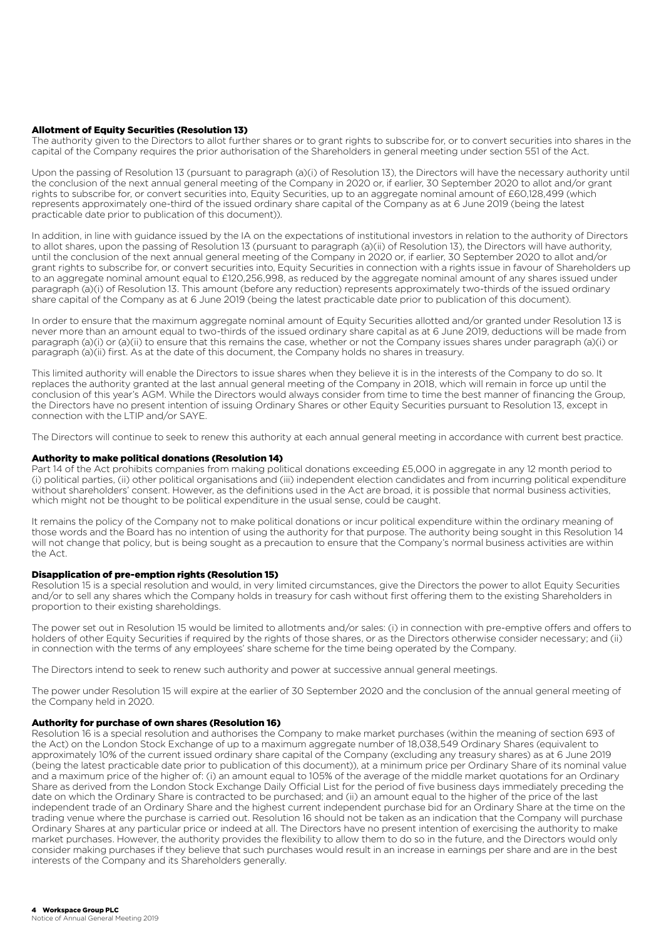#### Allotment of Equity Securities (Resolution 13)

The authority given to the Directors to allot further shares or to grant rights to subscribe for, or to convert securities into shares in the capital of the Company requires the prior authorisation of the Shareholders in general meeting under section 551 of the Act.

Upon the passing of Resolution 13 (pursuant to paragraph (a)(i) of Resolution 13), the Directors will have the necessary authority until the conclusion of the next annual general meeting of the Company in 2020 or, if earlier, 30 September 2020 to allot and/or grant rights to subscribe for, or convert securities into, Equity Securities, up to an aggregate nominal amount of £60,128,499 (which represents approximately one-third of the issued ordinary share capital of the Company as at 6 June 2019 (being the latest practicable date prior to publication of this document)).

In addition, in line with guidance issued by the IA on the expectations of institutional investors in relation to the authority of Directors to allot shares, upon the passing of Resolution 13 (pursuant to paragraph (a)(ii) of Resolution 13), the Directors will have authority, until the conclusion of the next annual general meeting of the Company in 2020 or, if earlier, 30 September 2020 to allot and/or grant rights to subscribe for, or convert securities into, Equity Securities in connection with a rights issue in favour of Shareholders up to an aggregate nominal amount equal to £120,256,998, as reduced by the aggregate nominal amount of any shares issued under paragraph (a)(i) of Resolution 13. This amount (before any reduction) represents approximately two-thirds of the issued ordinary share capital of the Company as at 6 June 2019 (being the latest practicable date prior to publication of this document).

In order to ensure that the maximum aggregate nominal amount of Equity Securities allotted and/or granted under Resolution 13 is never more than an amount equal to two-thirds of the issued ordinary share capital as at 6 June 2019, deductions will be made from paragraph (a)(i) or (a)(ii) to ensure that this remains the case, whether or not the Company issues shares under paragraph (a)(i) or paragraph (a)(ii) first. As at the date of this document, the Company holds no shares in treasury.

This limited authority will enable the Directors to issue shares when they believe it is in the interests of the Company to do so. It replaces the authority granted at the last annual general meeting of the Company in 2018, which will remain in force up until the conclusion of this year's AGM. While the Directors would always consider from time to time the best manner of financing the Group, the Directors have no present intention of issuing Ordinary Shares or other Equity Securities pursuant to Resolution 13, except in connection with the LTIP and/or SAYE.

The Directors will continue to seek to renew this authority at each annual general meeting in accordance with current best practice.

#### Authority to make political donations (Resolution 14)

Part 14 of the Act prohibits companies from making political donations exceeding £5,000 in aggregate in any 12 month period to (i) political parties, (ii) other political organisations and (iii) independent election candidates and from incurring political expenditure without shareholders' consent. However, as the definitions used in the Act are broad, it is possible that normal business activities, which might not be thought to be political expenditure in the usual sense, could be caught.

It remains the policy of the Company not to make political donations or incur political expenditure within the ordinary meaning of those words and the Board has no intention of using the authority for that purpose. The authority being sought in this Resolution 14 will not change that policy, but is being sought as a precaution to ensure that the Company's normal business activities are within the Act.

#### Disapplication of pre-emption rights (Resolution 15)

Resolution 15 is a special resolution and would, in very limited circumstances, give the Directors the power to allot Equity Securities and/or to sell any shares which the Company holds in treasury for cash without first offering them to the existing Shareholders in proportion to their existing shareholdings.

The power set out in Resolution 15 would be limited to allotments and/or sales: (i) in connection with pre-emptive offers and offers to holders of other Equity Securities if required by the rights of those shares, or as the Directors otherwise consider necessary; and (ii) in connection with the terms of any employees' share scheme for the time being operated by the Company.

The Directors intend to seek to renew such authority and power at successive annual general meetings.

The power under Resolution 15 will expire at the earlier of 30 September 2020 and the conclusion of the annual general meeting of the Company held in 2020.

#### Authority for purchase of own shares (Resolution 16)

Resolution 16 is a special resolution and authorises the Company to make market purchases (within the meaning of section 693 of the Act) on the London Stock Exchange of up to a maximum aggregate number of 18,038,549 Ordinary Shares (equivalent to approximately 10% of the current issued ordinary share capital of the Company (excluding any treasury shares) as at 6 June 2019 (being the latest practicable date prior to publication of this document)), at a minimum price per Ordinary Share of its nominal value and a maximum price of the higher of: (i) an amount equal to 105% of the average of the middle market quotations for an Ordinary Share as derived from the London Stock Exchange Daily Official List for the period of five business days immediately preceding the date on which the Ordinary Share is contracted to be purchased; and (ii) an amount equal to the higher of the price of the last independent trade of an Ordinary Share and the highest current independent purchase bid for an Ordinary Share at the time on the trading venue where the purchase is carried out. Resolution 16 should not be taken as an indication that the Company will purchase Ordinary Shares at any particular price or indeed at all. The Directors have no present intention of exercising the authority to make market purchases. However, the authority provides the flexibility to allow them to do so in the future, and the Directors would only consider making purchases if they believe that such purchases would result in an increase in earnings per share and are in the best interests of the Company and its Shareholders generally.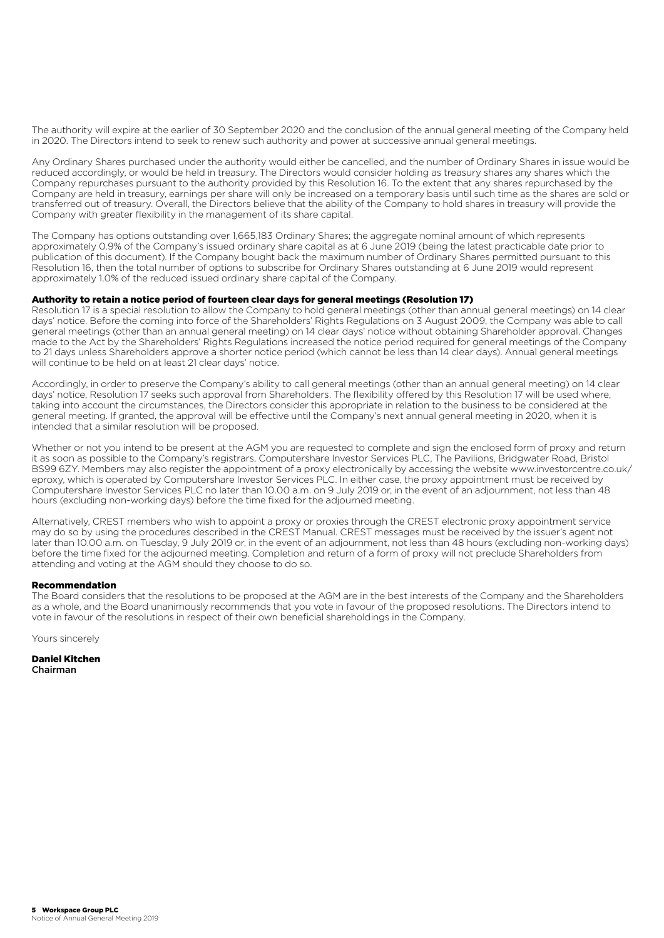The authority will expire at the earlier of 30 September 2020 and the conclusion of the annual general meeting of the Company held in 2020. The Directors intend to seek to renew such authority and power at successive annual general meetings.

Any Ordinary Shares purchased under the authority would either be cancelled, and the number of Ordinary Shares in issue would be reduced accordingly, or would be held in treasury. The Directors would consider holding as treasury shares any shares which the Company repurchases pursuant to the authority provided by this Resolution 16. To the extent that any shares repurchased by the Company are held in treasury, earnings per share will only be increased on a temporary basis until such time as the shares are sold or transferred out of treasury. Overall, the Directors believe that the ability of the Company to hold shares in treasury will provide the Company with greater flexibility in the management of its share capital.

The Company has options outstanding over 1,665,183 Ordinary Shares; the aggregate nominal amount of which represents approximately 0.9% of the Company's issued ordinary share capital as at 6 June 2019 (being the latest practicable date prior to publication of this document). If the Company bought back the maximum number of Ordinary Shares permitted pursuant to this Resolution 16, then the total number of options to subscribe for Ordinary Shares outstanding at 6 June 2019 would represent approximately 1.0% of the reduced issued ordinary share capital of the Company.

#### Authority to retain a notice period of fourteen clear days for general meetings (Resolution 17)

Resolution 17 is a special resolution to allow the Company to hold general meetings (other than annual general meetings) on 14 clear days' notice. Before the coming into force of the Shareholders' Rights Regulations on 3 August 2009, the Company was able to call general meetings (other than an annual general meeting) on 14 clear days' notice without obtaining Shareholder approval. Changes made to the Act by the Shareholders' Rights Regulations increased the notice period required for general meetings of the Company to 21 days unless Shareholders approve a shorter notice period (which cannot be less than 14 clear days). Annual general meetings will continue to be held on at least 21 clear days' notice.

Accordingly, in order to preserve the Company's ability to call general meetings (other than an annual general meeting) on 14 clear days' notice, Resolution 17 seeks such approval from Shareholders. The flexibility offered by this Resolution 17 will be used where, taking into account the circumstances, the Directors consider this appropriate in relation to the business to be considered at the general meeting. If granted, the approval will be effective until the Company's next annual general meeting in 2020, when it is intended that a similar resolution will be proposed.

Whether or not you intend to be present at the AGM you are requested to complete and sign the enclosed form of proxy and return it as soon as possible to the Company's registrars, Computershare Investor Services PLC, The Pavilions, Bridgwater Road, Bristol BS99 6ZY. Members may also register the appointment of a proxy electronically by accessing the website www.investorcentre.co.uk/ eproxy, which is operated by Computershare Investor Services PLC. In either case, the proxy appointment must be received by Computershare Investor Services PLC no later than 10.00 a.m. on 9 July 2019 or, in the event of an adjournment, not less than 48 hours (excluding non-working days) before the time fixed for the adjourned meeting.

Alternatively, CREST members who wish to appoint a proxy or proxies through the CREST electronic proxy appointment service may do so by using the procedures described in the CREST Manual. CREST messages must be received by the issuer's agent not later than 10.00 a.m. on Tuesday, 9 July 2019 or, in the event of an adjournment, not less than 48 hours (excluding non-working days) before the time fixed for the adjourned meeting. Completion and return of a form of proxy will not preclude Shareholders from attending and voting at the AGM should they choose to do so.

#### Recommendation

The Board considers that the resolutions to be proposed at the AGM are in the best interests of the Company and the Shareholders as a whole, and the Board unanimously recommends that you vote in favour of the proposed resolutions. The Directors intend to vote in favour of the resolutions in respect of their own beneficial shareholdings in the Company.

Yours sincerely

Daniel Kitchen Chairman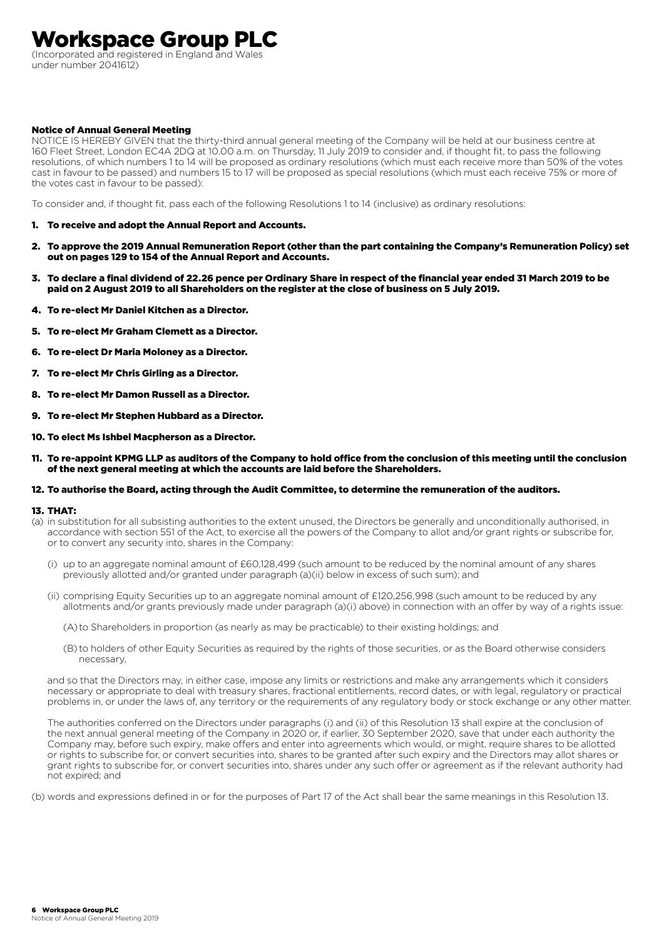### Workspace Group PLC

(Incorporated and registered in England and Wales under number 2041612)

#### Notice of Annual General Meeting

NOTICE IS HEREBY GIVEN that the thirty-third annual general meeting of the Company will be held at our business centre at 160 Fleet Street, London EC4A 2DQ at 10.00 a.m. on Thursday, 11 July 2019 to consider and, if thought fit, to pass the following resolutions, of which numbers 1 to 14 will be proposed as ordinary resolutions (which must each receive more than 50% of the votes cast in favour to be passed) and numbers 15 to 17 will be proposed as special resolutions (which must each receive 75% or more of the votes cast in favour to be passed):

To consider and, if thought fit, pass each of the following Resolutions 1 to 14 (inclusive) as ordinary resolutions:

- 1. To receive and adopt the Annual Report and Accounts.
- 2. To approve the 2019 Annual Remuneration Report (other than the part containing the Company's Remuneration Policy) set out on pages 129 to 154 of the Annual Report and Accounts.
- 3. To declare a final dividend of 22.26 pence per Ordinary Share in respect of the financial year ended 31 March 2019 to be paid on 2 August 2019 to all Shareholders on the register at the close of business on 5 July 2019.
- 4. To re-elect Mr Daniel Kitchen as a Director.
- 5. To re-elect Mr Graham Clemett as a Director.
- 6. To re-elect Dr Maria Moloney as a Director.
- 7. To re-elect Mr Chris Girling as a Director.
- 8. To re-elect Mr Damon Russell as a Director.
- 9. To re-elect Mr Stephen Hubbard as a Director.
- 10. To elect Ms Ishbel Macpherson as a Director.
- 11. To re-appoint KPMG LLP as auditors of the Company to hold office from the conclusion of this meeting until the conclusion of the next general meeting at which the accounts are laid before the Shareholders.

#### 12. To authorise the Board, acting through the Audit Committee, to determine the remuneration of the auditors.

#### 13. THAT:

- (a) in substitution for all subsisting authorities to the extent unused, the Directors be generally and unconditionally authorised, in accordance with section 551 of the Act, to exercise all the powers of the Company to allot and/or grant rights or subscribe for, or to convert any security into, shares in the Company:
	- (i) up to an aggregate nominal amount of £60,128,499 (such amount to be reduced by the nominal amount of any shares previously allotted and/or granted under paragraph (a)(ii) below in excess of such sum); and
	- (ii) comprising Equity Securities up to an aggregate nominal amount of £120,256,998 (such amount to be reduced by any allotments and/or grants previously made under paragraph (a)(i) above) in connection with an offer by way of a rights issue:
		- (A) to Shareholders in proportion (as nearly as may be practicable) to their existing holdings; and
		- (B) to holders of other Equity Securities as required by the rights of those securities, or as the Board otherwise considers necessary,

 and so that the Directors may, in either case, impose any limits or restrictions and make any arrangements which it considers necessary or appropriate to deal with treasury shares, fractional entitlements, record dates, or with legal, regulatory or practical problems in, or under the laws of, any territory or the requirements of any regulatory body or stock exchange or any other matter.

 The authorities conferred on the Directors under paragraphs (i) and (ii) of this Resolution 13 shall expire at the conclusion of the next annual general meeting of the Company in 2020 or, if earlier, 30 September 2020, save that under each authority the Company may, before such expiry, make offers and enter into agreements which would, or might, require shares to be allotted or rights to subscribe for, or convert securities into, shares to be granted after such expiry and the Directors may allot shares or grant rights to subscribe for, or convert securities into, shares under any such offer or agreement as if the relevant authority had not expired; and

(b) words and expressions defined in or for the purposes of Part 17 of the Act shall bear the same meanings in this Resolution 13.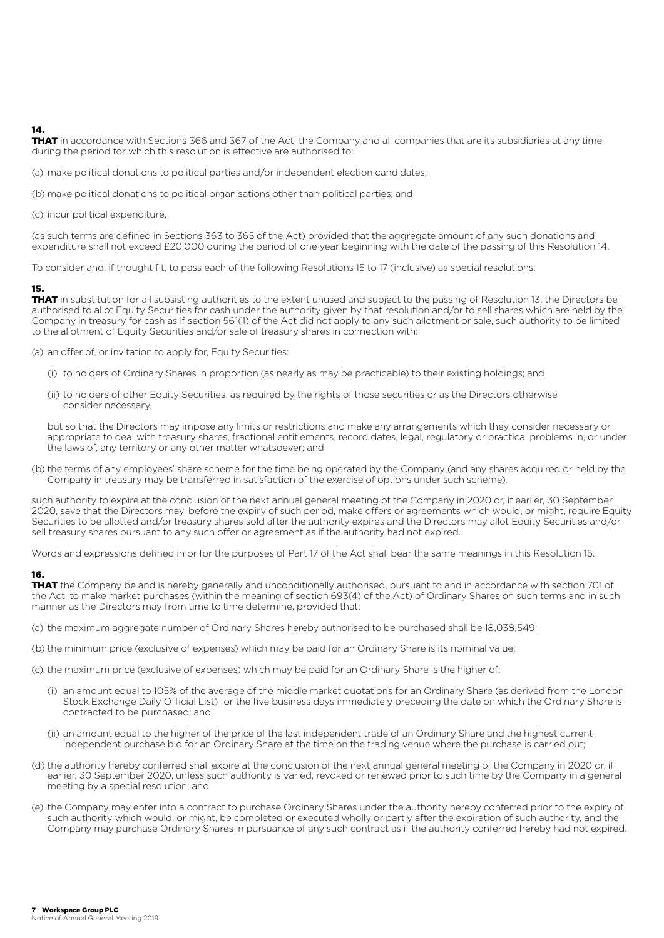#### 14.

THAT in accordance with Sections 366 and 367 of the Act, the Company and all companies that are its subsidiaries at any time during the period for which this resolution is effective are authorised to:

(a) make political donations to political parties and/or independent election candidates;

(b) make political donations to political organisations other than political parties; and

(c) incur political expenditure,

(as such terms are defined in Sections 363 to 365 of the Act) provided that the aggregate amount of any such donations and expenditure shall not exceed £20,000 during the period of one year beginning with the date of the passing of this Resolution 14.

To consider and, if thought fit, to pass each of the following Resolutions 15 to 17 (inclusive) as special resolutions:

#### 15.

**THAT** in substitution for all subsisting authorities to the extent unused and subject to the passing of Resolution 13, the Directors be authorised to allot Equity Securities for cash under the authority given by that resolution and/or to sell shares which are held by the Company in treasury for cash as if section 561(1) of the Act did not apply to any such allotment or sale, such authority to be limited to the allotment of Equity Securities and/or sale of treasury shares in connection with:

(a) an offer of, or invitation to apply for, Equity Securities:

- (i) to holders of Ordinary Shares in proportion (as nearly as may be practicable) to their existing holdings; and
- (ii) to holders of other Equity Securities, as required by the rights of those securities or as the Directors otherwise consider necessary,

 but so that the Directors may impose any limits or restrictions and make any arrangements which they consider necessary or appropriate to deal with treasury shares, fractional entitlements, record dates, legal, regulatory or practical problems in, or under the laws of, any territory or any other matter whatsoever; and

(b) the terms of any employees' share scheme for the time being operated by the Company (and any shares acquired or held by the Company in treasury may be transferred in satisfaction of the exercise of options under such scheme),

such authority to expire at the conclusion of the next annual general meeting of the Company in 2020 or, if earlier, 30 September 2020, save that the Directors may, before the expiry of such period, make offers or agreements which would, or might, require Equity Securities to be allotted and/or treasury shares sold after the authority expires and the Directors may allot Equity Securities and/or sell treasury shares pursuant to any such offer or agreement as if the authority had not expired.

Words and expressions defined in or for the purposes of Part 17 of the Act shall bear the same meanings in this Resolution 15.

#### 16.

THAT the Company be and is hereby generally and unconditionally authorised, pursuant to and in accordance with section 701 of the Act, to make market purchases (within the meaning of section 693(4) of the Act) of Ordinary Shares on such terms and in such manner as the Directors may from time to time determine, provided that:

- (a) the maximum aggregate number of Ordinary Shares hereby authorised to be purchased shall be 18,038,549;
- (b) the minimum price (exclusive of expenses) which may be paid for an Ordinary Share is its nominal value;
- (c) the maximum price (exclusive of expenses) which may be paid for an Ordinary Share is the higher of:
	- (i) an amount equal to 105% of the average of the middle market quotations for an Ordinary Share (as derived from the London Stock Exchange Daily Official List) for the five business days immediately preceding the date on which the Ordinary Share is contracted to be purchased; and
	- (ii) an amount equal to the higher of the price of the last independent trade of an Ordinary Share and the highest current independent purchase bid for an Ordinary Share at the time on the trading venue where the purchase is carried out;
- (d) the authority hereby conferred shall expire at the conclusion of the next annual general meeting of the Company in 2020 or, if earlier, 30 September 2020, unless such authority is varied, revoked or renewed prior to such time by the Company in a general meeting by a special resolution; and
- (e) the Company may enter into a contract to purchase Ordinary Shares under the authority hereby conferred prior to the expiry of such authority which would, or might, be completed or executed wholly or partly after the expiration of such authority, and the Company may purchase Ordinary Shares in pursuance of any such contract as if the authority conferred hereby had not expired.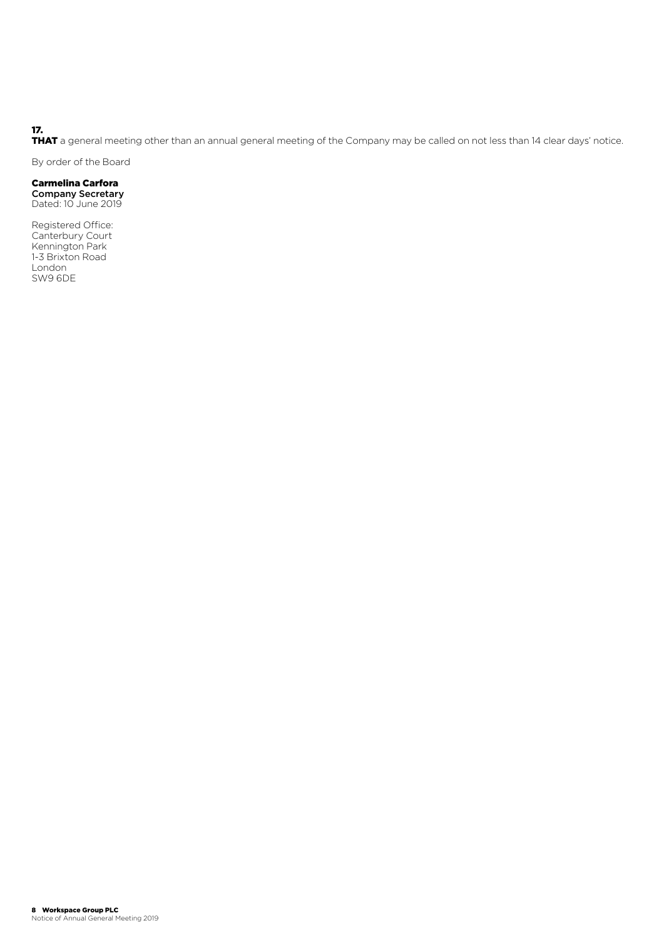#### 17.

THAT a general meeting other than an annual general meeting of the Company may be called on not less than 14 clear days' notice.

By order of the Board

#### Carmelina Carfora

Company Secretary Dated: 10 June 2019

Registered Office: Canterbury Court Kennington Park 1-3 Brixton Road London SW9 6DE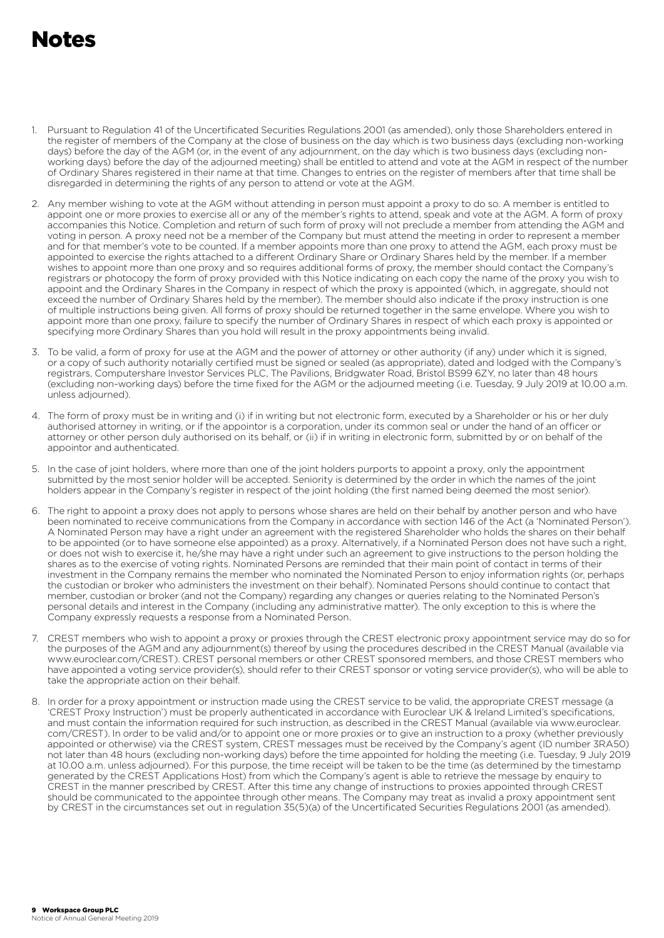### Notes

- 1. Pursuant to Regulation 41 of the Uncertificated Securities Regulations 2001 (as amended), only those Shareholders entered in the register of members of the Company at the close of business on the day which is two business days (excluding non-working days) before the day of the AGM (or, in the event of any adjournment, on the day which is two business days (excluding nonworking days) before the day of the adjourned meeting) shall be entitled to attend and vote at the AGM in respect of the number of Ordinary Shares registered in their name at that time. Changes to entries on the register of members after that time shall be disregarded in determining the rights of any person to attend or vote at the AGM.
- 2. Any member wishing to vote at the AGM without attending in person must appoint a proxy to do so. A member is entitled to appoint one or more proxies to exercise all or any of the member's rights to attend, speak and vote at the AGM. A form of proxy accompanies this Notice. Completion and return of such form of proxy will not preclude a member from attending the AGM and voting in person. A proxy need not be a member of the Company but must attend the meeting in order to represent a member and for that member's vote to be counted. If a member appoints more than one proxy to attend the AGM, each proxy must be appointed to exercise the rights attached to a different Ordinary Share or Ordinary Shares held by the member. If a member wishes to appoint more than one proxy and so requires additional forms of proxy, the member should contact the Company's registrars or photocopy the form of proxy provided with this Notice indicating on each copy the name of the proxy you wish to appoint and the Ordinary Shares in the Company in respect of which the proxy is appointed (which, in aggregate, should not exceed the number of Ordinary Shares held by the member). The member should also indicate if the proxy instruction is one of multiple instructions being given. All forms of proxy should be returned together in the same envelope. Where you wish to appoint more than one proxy, failure to specify the number of Ordinary Shares in respect of which each proxy is appointed or specifying more Ordinary Shares than you hold will result in the proxy appointments being invalid.
- 3. To be valid, a form of proxy for use at the AGM and the power of attorney or other authority (if any) under which it is signed, or a copy of such authority notarially certified must be signed or sealed (as appropriate), dated and lodged with the Company's registrars, Computershare Investor Services PLC, The Pavilions, Bridgwater Road, Bristol BS99 6ZY, no later than 48 hours (excluding non-working days) before the time fixed for the AGM or the adjourned meeting (i.e. Tuesday, 9 July 2019 at 10.00 a.m. unless adjourned).
- 4. The form of proxy must be in writing and (i) if in writing but not electronic form, executed by a Shareholder or his or her duly authorised attorney in writing, or if the appointor is a corporation, under its common seal or under the hand of an officer or attorney or other person duly authorised on its behalf, or (ii) if in writing in electronic form, submitted by or on behalf of the appointor and authenticated.
- 5. In the case of joint holders, where more than one of the joint holders purports to appoint a proxy, only the appointment submitted by the most senior holder will be accepted. Seniority is determined by the order in which the names of the joint holders appear in the Company's register in respect of the joint holding (the first named being deemed the most senior).
- 6. The right to appoint a proxy does not apply to persons whose shares are held on their behalf by another person and who have been nominated to receive communications from the Company in accordance with section 146 of the Act (a 'Nominated Person'). A Nominated Person may have a right under an agreement with the registered Shareholder who holds the shares on their behalf to be appointed (or to have someone else appointed) as a proxy. Alternatively, if a Nominated Person does not have such a right, or does not wish to exercise it, he/she may have a right under such an agreement to give instructions to the person holding the shares as to the exercise of voting rights. Nominated Persons are reminded that their main point of contact in terms of their investment in the Company remains the member who nominated the Nominated Person to enjoy information rights (or, perhaps the custodian or broker who administers the investment on their behalf). Nominated Persons should continue to contact that member, custodian or broker (and not the Company) regarding any changes or queries relating to the Nominated Person's personal details and interest in the Company (including any administrative matter). The only exception to this is where the Company expressly requests a response from a Nominated Person.
- 7. CREST members who wish to appoint a proxy or proxies through the CREST electronic proxy appointment service may do so for the purposes of the AGM and any adjournment(s) thereof by using the procedures described in the CREST Manual (available via www.euroclear.com/CREST). CREST personal members or other CREST sponsored members, and those CREST members who have appointed a voting service provider(s), should refer to their CREST sponsor or voting service provider(s), who will be able to take the appropriate action on their behalf.
- 8. In order for a proxy appointment or instruction made using the CREST service to be valid, the appropriate CREST message (a 'CREST Proxy Instruction') must be properly authenticated in accordance with Euroclear UK & Ireland Limited's specifications, and must contain the information required for such instruction, as described in the CREST Manual (available via www.euroclear. com/CREST). In order to be valid and/or to appoint one or more proxies or to give an instruction to a proxy (whether previously appointed or otherwise) via the CREST system, CREST messages must be received by the Company's agent (ID number 3RA50) not later than 48 hours (excluding non-working days) before the time appointed for holding the meeting (i.e. Tuesday, 9 July 2019 at 10.00 a.m. unless adjourned). For this purpose, the time receipt will be taken to be the time (as determined by the timestamp generated by the CREST Applications Host) from which the Company's agent is able to retrieve the message by enquiry to CREST in the manner prescribed by CREST. After this time any change of instructions to proxies appointed through CREST should be communicated to the appointee through other means. The Company may treat as invalid a proxy appointment sent by CREST in the circumstances set out in regulation 35(5)(a) of the Uncertificated Securities Regulations 2001 (as amended).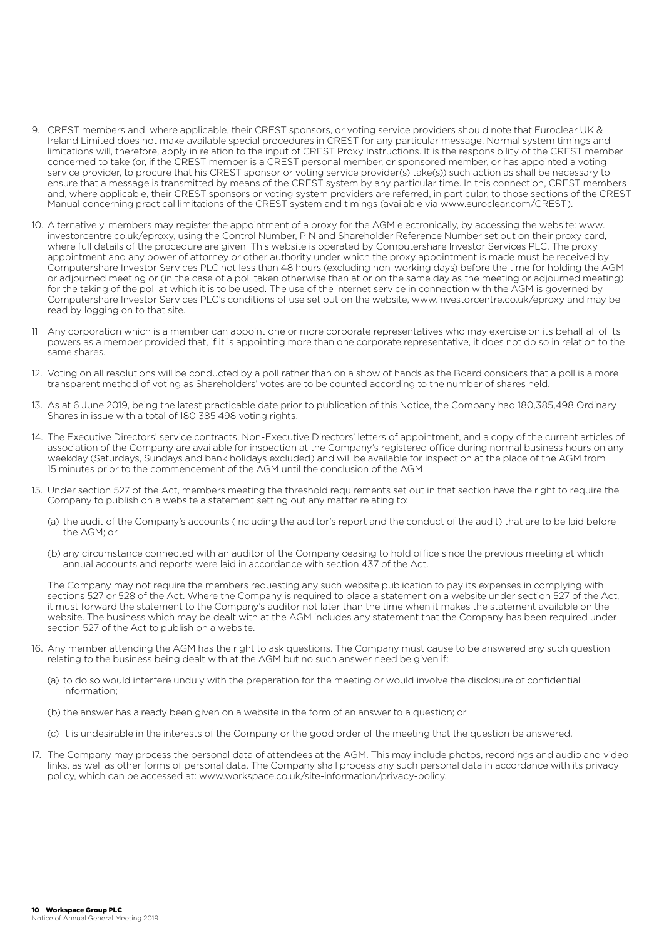- 9. CREST members and, where applicable, their CREST sponsors, or voting service providers should note that Euroclear UK & Ireland Limited does not make available special procedures in CREST for any particular message. Normal system timings and limitations will, therefore, apply in relation to the input of CREST Proxy Instructions. It is the responsibility of the CREST member concerned to take (or, if the CREST member is a CREST personal member, or sponsored member, or has appointed a voting service provider, to procure that his CREST sponsor or voting service provider(s) take(s)) such action as shall be necessary to ensure that a message is transmitted by means of the CREST system by any particular time. In this connection, CREST members and, where applicable, their CREST sponsors or voting system providers are referred, in particular, to those sections of the CREST Manual concerning practical limitations of the CREST system and timings (available via www.euroclear.com/CREST).
- 10. Alternatively, members may register the appointment of a proxy for the AGM electronically, by accessing the website: www. investorcentre.co.uk/eproxy, using the Control Number, PIN and Shareholder Reference Number set out on their proxy card, where full details of the procedure are given. This website is operated by Computershare Investor Services PLC. The proxy appointment and any power of attorney or other authority under which the proxy appointment is made must be received by Computershare Investor Services PLC not less than 48 hours (excluding non-working days) before the time for holding the AGM or adjourned meeting or (in the case of a poll taken otherwise than at or on the same day as the meeting or adjourned meeting) for the taking of the poll at which it is to be used. The use of the internet service in connection with the AGM is governed by Computershare Investor Services PLC's conditions of use set out on the website, www.investorcentre.co.uk/eproxy and may be read by logging on to that site.
- 11. Any corporation which is a member can appoint one or more corporate representatives who may exercise on its behalf all of its powers as a member provided that, if it is appointing more than one corporate representative, it does not do so in relation to the same shares.
- 12. Voting on all resolutions will be conducted by a poll rather than on a show of hands as the Board considers that a poll is a more transparent method of voting as Shareholders' votes are to be counted according to the number of shares held.
- 13. As at 6 June 2019, being the latest practicable date prior to publication of this Notice, the Company had 180,385,498 Ordinary Shares in issue with a total of 180,385,498 voting rights.
- 14. The Executive Directors' service contracts, Non-Executive Directors' letters of appointment, and a copy of the current articles of association of the Company are available for inspection at the Company's registered office during normal business hours on any weekday (Saturdays, Sundays and bank holidays excluded) and will be available for inspection at the place of the AGM from 15 minutes prior to the commencement of the AGM until the conclusion of the AGM.
- 15. Under section 527 of the Act, members meeting the threshold requirements set out in that section have the right to require the Company to publish on a website a statement setting out any matter relating to:
	- (a) the audit of the Company's accounts (including the auditor's report and the conduct of the audit) that are to be laid before the AGM; or
	- (b) any circumstance connected with an auditor of the Company ceasing to hold office since the previous meeting at which annual accounts and reports were laid in accordance with section 437 of the Act.

 The Company may not require the members requesting any such website publication to pay its expenses in complying with sections 527 or 528 of the Act. Where the Company is required to place a statement on a website under section 527 of the Act, it must forward the statement to the Company's auditor not later than the time when it makes the statement available on the website. The business which may be dealt with at the AGM includes any statement that the Company has been required under section 527 of the Act to publish on a website.

- 16. Any member attending the AGM has the right to ask questions. The Company must cause to be answered any such question relating to the business being dealt with at the AGM but no such answer need be given if:
	- (a) to do so would interfere unduly with the preparation for the meeting or would involve the disclosure of confidential information;
	- (b) the answer has already been given on a website in the form of an answer to a question; or
	- (c) it is undesirable in the interests of the Company or the good order of the meeting that the question be answered.
- 17. The Company may process the personal data of attendees at the AGM. This may include photos, recordings and audio and video links, as well as other forms of personal data. The Company shall process any such personal data in accordance with its privacy policy, which can be accessed at: www.workspace.co.uk/site-information/privacy-policy.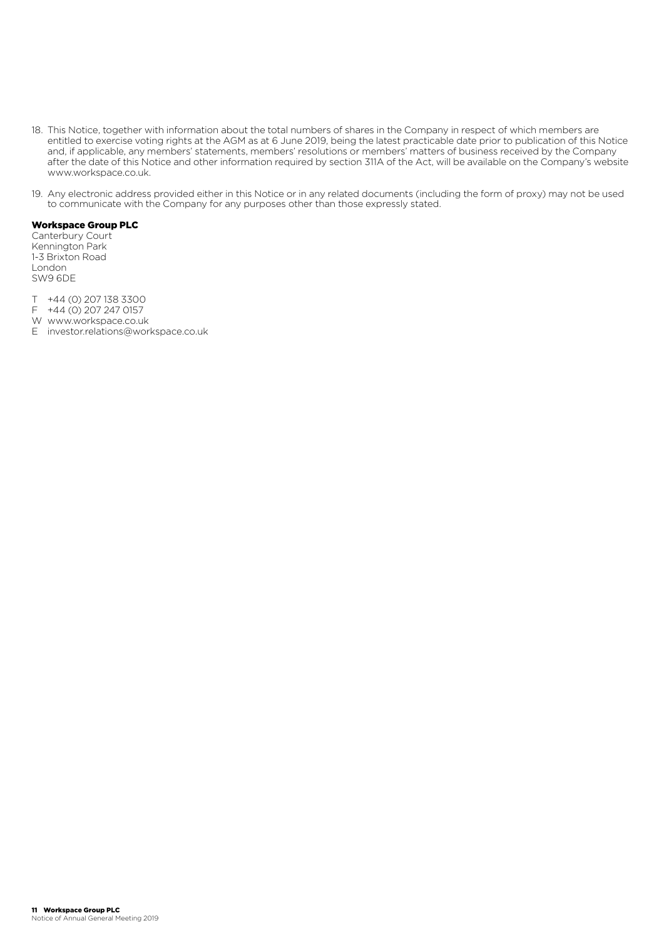- 18. This Notice, together with information about the total numbers of shares in the Company in respect of which members are entitled to exercise voting rights at the AGM as at 6 June 2019, being the latest practicable date prior to publication of this Notice and, if applicable, any members' statements, members' resolutions or members' matters of business received by the Company after the date of this Notice and other information required by section 311A of the Act, will be available on the Company's website www.workspace.co.uk.
- 19. Any electronic address provided either in this Notice or in any related documents (including the form of proxy) may not be used to communicate with the Company for any purposes other than those expressly stated.

#### Workspace Group PLC

Canterbury Court Kennington Park 1-3 Brixton Road London SW9 6DE

- T +44 (0) 207 138 3300
- F +44 (0) 207 247 0157
- W www.workspace.co.uk
- E investor.relations@workspace.co.uk